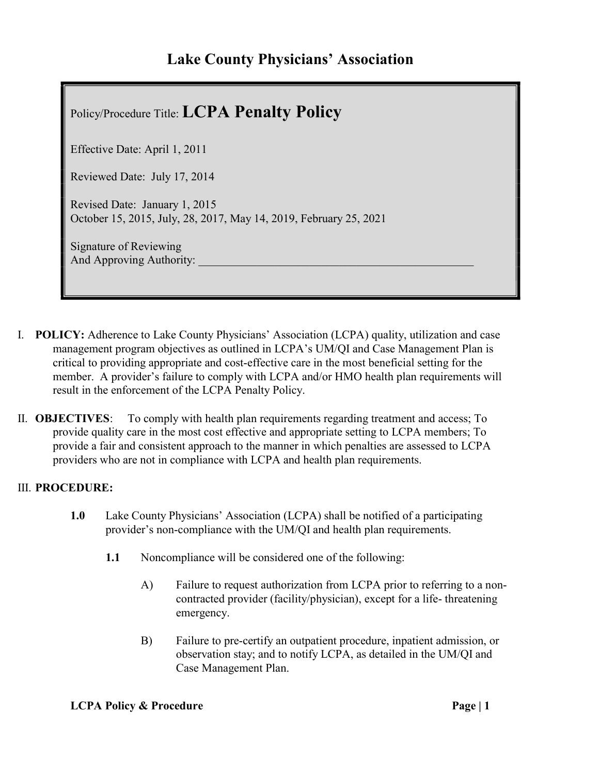## Lake County Physicians' Association

| Policy/Procedure Title: LCPA Penalty Policy                                                        |
|----------------------------------------------------------------------------------------------------|
| Effective Date: April 1, 2011                                                                      |
| Reviewed Date: July 17, 2014                                                                       |
| Revised Date: January 1, 2015<br>October 15, 2015, July, 28, 2017, May 14, 2019, February 25, 2021 |
| Signature of Reviewing<br>And Approving Authority:                                                 |
|                                                                                                    |

- I. POLICY: Adherence to Lake County Physicians' Association (LCPA) quality, utilization and case management program objectives as outlined in LCPA's UM/QI and Case Management Plan is critical to providing appropriate and cost-effective care in the most beneficial setting for the member. A provider's failure to comply with LCPA and/or HMO health plan requirements will result in the enforcement of the LCPA Penalty Policy.
- II. OBJECTIVES: To comply with health plan requirements regarding treatment and access; To provide quality care in the most cost effective and appropriate setting to LCPA members; To provide a fair and consistent approach to the manner in which penalties are assessed to LCPA providers who are not in compliance with LCPA and health plan requirements.

## III. PROCEDURE:

- 1.0 Lake County Physicians' Association (LCPA) shall be notified of a participating provider's non-compliance with the UM/QI and health plan requirements.
	- 1.1 Noncompliance will be considered one of the following:
		- A) Failure to request authorization from LCPA prior to referring to a noncontracted provider (facility/physician), except for a life- threatening emergency.
		- B) Failure to pre-certify an outpatient procedure, inpatient admission, or observation stay; and to notify LCPA, as detailed in the UM/QI and Case Management Plan.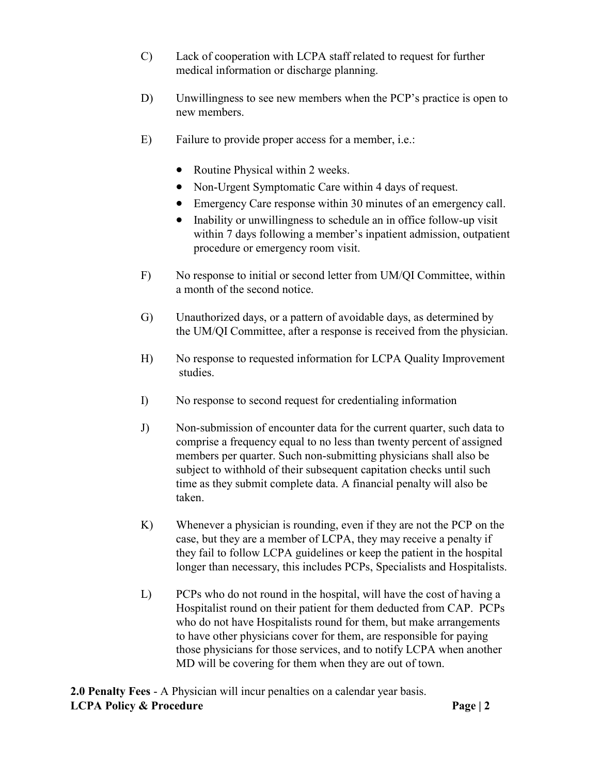- C) Lack of cooperation with LCPA staff related to request for further medical information or discharge planning.
- D) Unwillingness to see new members when the PCP's practice is open to new members.
- E) Failure to provide proper access for a member, i.e.:
	- Routine Physical within 2 weeks.
	- Non-Urgent Symptomatic Care within 4 days of request.
	- Emergency Care response within 30 minutes of an emergency call.
	- Inability or unwillingness to schedule an in office follow-up visit within 7 days following a member's inpatient admission, outpatient procedure or emergency room visit.
- F) No response to initial or second letter from UM/QI Committee, within a month of the second notice.
- G) Unauthorized days, or a pattern of avoidable days, as determined by the UM/QI Committee, after a response is received from the physician.
- H) No response to requested information for LCPA Quality Improvement studies.
- I) No response to second request for credentialing information
- J) Non-submission of encounter data for the current quarter, such data to comprise a frequency equal to no less than twenty percent of assigned members per quarter. Such non-submitting physicians shall also be subject to withhold of their subsequent capitation checks until such time as they submit complete data. A financial penalty will also be taken.
- K) Whenever a physician is rounding, even if they are not the PCP on the case, but they are a member of LCPA, they may receive a penalty if they fail to follow LCPA guidelines or keep the patient in the hospital longer than necessary, this includes PCPs, Specialists and Hospitalists.
- L) PCPs who do not round in the hospital, will have the cost of having a Hospitalist round on their patient for them deducted from CAP. PCPs who do not have Hospitalists round for them, but make arrangements to have other physicians cover for them, are responsible for paying those physicians for those services, and to notify LCPA when another MD will be covering for them when they are out of town.

LCPA Policy & Procedure **Page | 2** 2.0 Penalty Fees - A Physician will incur penalties on a calendar year basis.